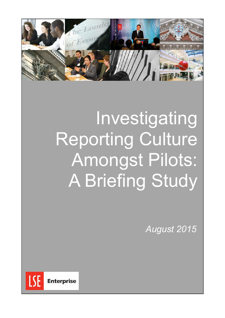

# Investigating Reporting Culture Amongst Pilots: A Briefing Study

*August 2015*

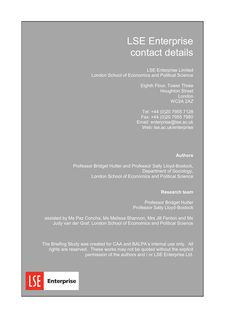# LSE Enterprise contact details

LSE Enterprise Limited London School of Economics and Political Science

> Eighth Floor, Tower Three Houghton Street London WC2A 2AZ

Tel: +44 (0)20 7955 7128 Fax: +44 (0)20 7955 7980 Email: enterprise@lse.ac.uk Web: lse.ac.uk/enterprise

### **Authors**

Professor Bridget Hutter and Professor Sally Lloyd-Bostock, Department of Sociology, London School of Economics and Political Science

#### **Research team**

Professor Bridget Hutter Professor Sally Lloyd-Bostock

assisted by Ms Paz Concha, Ms Melissa Shannon, Mrs Jill Fenton and Ms Judy van der Graf, London School of Economics and Political Science

The Briefing Study was created for CAA and BALPA's internal use only. All rights are reserved. These works may not be quoted without the explicit permission of the authors and / or LSE Enterprise Ltd.

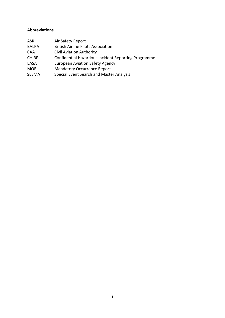# **Abbreviations**

| ASR          | Air Safety Report                                   |
|--------------|-----------------------------------------------------|
| <b>BALPA</b> | <b>British Airline Pilots Association</b>           |
| <b>CAA</b>   | <b>Civil Aviation Authority</b>                     |
| <b>CHIRP</b> | Confidential Hazardous Incident Reporting Programme |
| EASA         | <b>European Aviation Safety Agency</b>              |
| <b>MOR</b>   | <b>Mandatory Occurrence Report</b>                  |
| <b>SESMA</b> | Special Event Search and Master Analysis            |
|              |                                                     |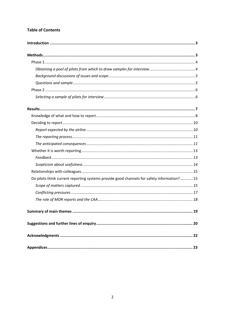# **Table of Contents**

| Do pilots think current reporting systems provide good channels for safety information?  15 |  |
|---------------------------------------------------------------------------------------------|--|
|                                                                                             |  |
|                                                                                             |  |
|                                                                                             |  |
|                                                                                             |  |
|                                                                                             |  |
|                                                                                             |  |
|                                                                                             |  |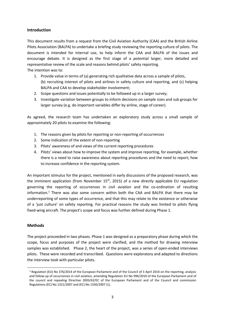#### <span id="page-4-0"></span>**Introduction**

This document results from a request from the Civil Aviation Authority (CAA) and the British Airline Pilots Association (BALPA) to undertake a briefing study reviewing the reporting culture of pilots. The document is intended for internal use, to help inform the CAA and BALPA of the issues and encourage debate. It is designed as the first stage of a potential larger, more detailed and representative review of the scale and reasons behind pilots' safety reporting.

The intention was to:

- 1. Provide value in terms of (a) generating rich qualitative data across a sample of pilots, (b) recruiting interest of pilots and airlines in safety culture and reporting, and (c) helping BALPA and CAA to develop stakeholder involvement;
- 2. Scope questions and issues potentially to be followed up in a larger survey;
- 3. Investigate variation between groups to inform decisions on sample sizes and sub groups for larger survey (e.g. do important variables differ by airline, stage of career).

As agreed, the research team has undertaken an exploratory study across a small sample of approximately 20 pilots to examine the following:

- 1. The reasons given by pilots for reporting or non-reporting of occurrences
- 2. Some indication of the extent of non-reporting
- 3. Pilots' awareness of and views of the current reporting procedures
- 4. Pilots' views about how to improve the system and improve reporting, for example, whether there is a need to raise awareness about reporting procedures and the need to report; how to increase confidence in the reporting system.

An important stimulus for the project, mentioned in early discussions of the proposed research, was the imminent application (from November  $15<sup>th</sup>$ , 2015) of a new directly applicable EU regulation governing the reporting of occurrences in civil aviation and the co-ordination of resulting information.<sup>1</sup> There was also some concern within both the CAA and BALPA that there may be underreporting of some types of occurrence, and that this may relate to the existence or otherwise of a 'just culture' on safety reporting. For practical reasons the study was limited to pilots flying fixed-wing aircraft. The project's scope and focus was further defined during Phase 1.

#### <span id="page-4-1"></span>**Methods**

**.** 

The project proceeded in two phases. Phase 1 was designed as a preparatory phase during which the scope, focus and purposes of the project were clarified, and the method for drawing interview samples was established. Phase 2, the heart of the project, was a series of open-ended interviews pilots. These were recorded and transcribed. Questions were exploratory and adapted to directions the interview took with particular pilots.

<sup>1</sup> Regulation (EU) No 376/2014 of the European Parliament and of the Council of 3 April 2014 on the reporting, analysis and follow-up of occurrences in civil aviation, amending Regulation EU No 996/2010 of the European Parliament and of the council and repealing Directive 2003/42/EC of the European Parliament and of the Council and commission Regulations (EC) No 1321/2007 and (EC) No 1330/2007 (1).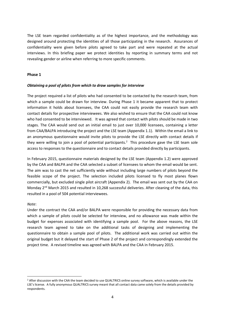The LSE team regarded confidentiality as of the highest importance, and the methodology was designed around protecting the identities of all those participating in the research. Assurances of confidentiality were given before pilots agreed to take part and were repeated at the actual interviews. In this briefing paper we protect identities by reporting in summary terms and not revealing gender or airline when referring to more specific comments.

#### <span id="page-5-0"></span>**Phase 1**

#### <span id="page-5-1"></span>*Obtaining a pool of pilots from which to draw samples for interview*

The project required a list of pilots who had consented to be contacted by the research team, from which a sample could be drawn for interview. During Phase 1 it became apparent that to protect information it holds about licensees, the CAA could not easily provide the research team with contact details for prospective interviewees. We also wished to ensure that the CAA could not know who had consented to be interviewed. It was agreed that contact with pilots should be made in two stages. The CAA would send out an initial email to just over 10,000 licensees, containing a letter from CAA/BALPA introducing the project and the LSE team (Appendix 1.1). Within the email a link to an anonymous questionnaire would invite pilots to provide the LSE directly with contact details if they were willing to join a pool of potential participants.<sup>2</sup> This procedure gave the LSE team sole access to responses to the questionnaire and to contact details provided directly by participants.

In February 2015, questionnaire materials designed by the LSE team (Appendix 1.2) were approved by the CAA and BALPA and the CAA selected a subset of licensees to whom the email would be sent. The aim was to cast the net sufficiently wide without including large numbers of pilots beyond the feasible scope of the project. The selection included pilots licensed to fly most planes flown commercially, but excluded single pilot aircraft (Appendix 2). The email was sent out by the CAA on Monday 2<sup>nd</sup> March 2015 and resulted in 10,268 successful deliveries. After cleaning of the data, this resulted in a pool of 504 potential interviewees.

#### *Note*:

<span id="page-5-2"></span>1

Under the contract the CAA and/or BALPA were responsible for providing the necessary data from which a sample of pilots could be selected for interview, and no allowance was made within the budget for expenses associated with identifying a sample pool. For the above reasons, the LSE research team agreed to take on the additional tasks of designing and implementing the questionnaire to obtain a sample pool of pilots. The additional work was carried out within the original budget but it delayed the start of Phase 2 of the project and correspondingly extended the project time. A revised timeline was agreed with BALPA and the CAA in February 2015.

<sup>2</sup> After discussion with the CAA the team decided to use QUALTRICS online survey software, which is available under the LSE's license. A fully anonymous QUALTRICS survey meant that all contact data came solely from the details provided by respondents.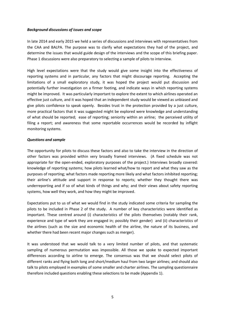#### *Background discussions of issues and scope*

In late 2014 and early 2015 we held a series of discussions and interviews with representatives from the CAA and BALPA. The purpose was to clarify what expectations they had of the project, and determine the issues that would guide design of the interviews and the scope of this briefing paper. Phase 1 discussions were also preparatory to selecting a sample of pilots to interview.

High level expectations were that the study would give some insight into the effectiveness of reporting systems and in particular, any factors that might discourage reporting. Accepting the limitations of a small exploratory study, it was hoped the project would put discussion and potentially further investigation on a firmer footing, and indicate ways in which reporting systems might be improved. It was particularly important to explore the extent to which airlines operated an effective just culture, and it was hoped that an independent study would be viewed as unbiased and give pilots confidence to speak openly. Besides trust in the protection provided by a just culture, more practical factors that it was suggested might be explored were knowledge and understanding of what should be reported; ease of reporting; seniority within an airline; the perceived utility of filing a report; and awareness that some reportable occurrences would be recorded by inflight monitoring systems.

#### <span id="page-6-0"></span>*Questions and sample*

The opportunity for pilots to discuss these factors and also to take the interview in the direction of other factors was provided within very broadly framed interviews. (A fixed schedule was not appropriate for the open-ended, exploratory purposes of the project.) Interviews broadly covered: knowledge of reporting systems; how pilots learned what/how to report and what they saw as the purposes of reporting; what factors made reporting more likely and what factors inhibited reporting; their airline's attitude and support in response to reports; whether they thought there was underreporting and if so of what kinds of things and why; and their views about safety reporting systems, how well they work, and how they might be improved.

Expectations put to us of what we would find in the study indicated some criteria for sampling the pilots to be included in Phase 2 of the study. A number of key characteristics were identified as important. These centred around (i) characteristics of the pilots themselves (notably their rank, experience and type of work they are engaged in; possibly their gender) and (ii) characteristics of the airlines (such as the size and economic health of the airline, the nature of its business, and whether there had been recent major changes such as merger).

It was understood that we would talk to a very limited number of pilots, and that systematic sampling of numerous permutation was impossible. All those we spoke to expected important differences according to airline to emerge. The consensus was that we should select pilots of different ranks and flying both long and short/medium haul from two larger airlines; and should also talk to pilots employed in examples of some smaller and charter airlines. The sampling questionnaire therefore included questions enabling these selections to be made (Appendix 1).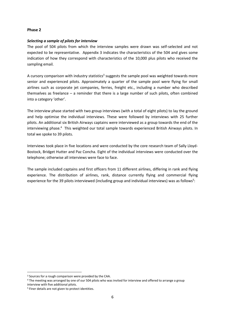#### <span id="page-7-0"></span>**Phase 2**

#### <span id="page-7-1"></span>*Selecting a sample of pilots for interview*

The pool of 504 pilots from which the interview samples were drawn was self-selected and not expected to be representative. Appendix 3 indicates the characteristics of the 504 and gives some indication of how they correspond with characteristics of the 10,000 plus pilots who received the sampling email.

A cursory comparison with industry statistics<sup>3</sup> suggests the sample pool was weighted towards more senior and experienced pilots. Approximately a quarter of the sample pool were flying for small airlines such as corporate jet companies, ferries, freight etc., including a number who described themselves as freelance – a reminder that there is a large number of such pilots, often combined into a category 'other'.

The interview phase started with two group interviews (with a total of eight pilots) to lay the ground and help optimise the individual interviews. These were followed by interviews with 25 further pilots. An additional six British Airways captains were interviewed as a group towards the end of the interviewing phase.<sup>4</sup> This weighted our total sample towards experienced British Airways pilots. In total we spoke to 39 pilots.

Interviews took place in five locations and were conducted by the core research team of Sally Lloyd-Bostock, Bridget Hutter and Paz Concha. Eight of the individual interviews were conducted over the telephone; otherwise all interviews were face to face.

The sample included captains and first officers from 11 different airlines, differing in rank and flying experience. The distribution of airlines, rank, distance currently flying and commercial flying experience for the 39 pilots interviewed (including group and individual interviews) was as follows<sup>5</sup>:

1

<sup>&</sup>lt;sup>3</sup> Sources for a rough comparison were provided by the CAA.

<sup>4</sup> The meeting was arranged by one of our 504 pilots who was invited for interview and offered to arrange a group interview with five additional pilots.

<sup>5</sup> Finer details are not given to protect identities.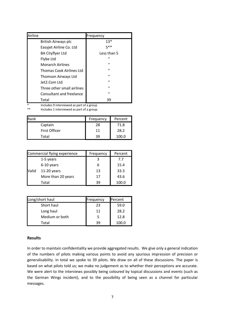| Airline                         | Frequency    |
|---------------------------------|--------------|
| British Airways plc             | $13*$        |
| Easyjet Airline Co. Ltd         | 5**          |
| <b>BA Cityflyer Ltd</b>         | Less than 5  |
| Flybe Ltd                       | $\prime$     |
| <b>Monarch Airlines</b>         | $\mathbf{u}$ |
| <b>Thomas Cook Airlines Ltd</b> | $\mathbf{u}$ |
| Thomson Airways Ltd             | $\mathbf{u}$ |
| Jet2.Com Ltd                    | $\mathbf{u}$ |
| Three other small airlines      | $\mathbf{u}$ |
| Consultant and freelance        | $\mathbf{u}$ |
| Total                           | 39           |

\* Includes 9 interviewed as part of a group

Includes 1 interviewed as part of a group.

| Rank          | Frequency | Percent |
|---------------|-----------|---------|
| Captain       | 28        | 71.8    |
| First Officer | 11        | 28.2    |
| Total         | 39        | 100.0   |

| Commercial flying experience |                    | Frequency | Percent |
|------------------------------|--------------------|-----------|---------|
| 1-5 years                    |                    |           | 7.7     |
|                              | 6-10 years         |           | 15.4    |
| Valid                        | $11-20$ years      | 13        | 33.3    |
|                              | More than 20 years | 17        | 43.6    |
|                              | Total              | 39        | 100.0   |

| Long/short haul | Frequency | Percent |
|-----------------|-----------|---------|
| Short haul      | 23        | 59.0    |
| Long haul       | 11        | 28.2    |
| Medium or both  |           | 12.8    |
| Total           | 30        | 100.0   |

#### <span id="page-8-0"></span>**Results**

In order to maintain confidentiality we provide aggregated results. We give only a general indication of the numbers of pilots making various points to avoid any spurious impression of precision or generalisability. In total we spoke to 39 pilots. We draw on all of these discussions. The paper is based on what pilots told us; we make no judgement as to whether their perceptions are accurate. We were alert to the interviews possibly being coloured by topical discussions and events (such as the German Wings incident), and to the possibility of being seen as a channel for particular messages.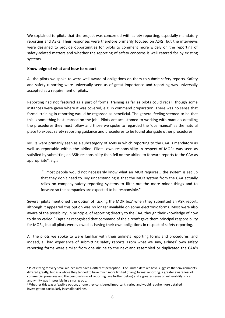We explained to pilots that the project was concerned with safety reporting, especially mandatory reporting and ASRs. Their responses were therefore primarily focused on ASRs, but the interviews were designed to provide opportunities for pilots to comment more widely on the reporting of safety-related matters and whether the reporting of safety concerns is well catered for by existing systems.

#### <span id="page-9-0"></span>**Knowledge of what and how to report**

**.** 

All the pilots we spoke to were well aware of obligations on them to submit safety reports. Safety and safety reporting were universally seen as of great importance and reporting was universally accepted as a requirement of pilots.

Reporting had not featured as a part of formal training as far as pilots could recall, though some instances were given where it was covered, e.g. in command preparation. There was no sense that formal training in reporting would be regarded as beneficial. The general feeling seemed to be that this is something best learned on the job. Pilots are accustomed to working with manuals detailing the procedures they must follow and those we spoke to regarded the 'ops manual' as the natural place to expect safety reporting guidance and procedures to be found alongside other procedures.

MORs were primarily seen as a subcategory of ASRs in which reporting to the CAA is mandatory as well as reportable within the airline. Pilots' own responsibility in respect of MORs was seen as satisfied by submitting an ASR: responsibility then fell on the airline to forward reports to the CAA as appropriate<sup>6</sup>, e.g.:

"…most people would not necessarily know what an MOR requires… the system is set up that they don't need to. My understanding is that the MOR system from the CAA actually relies on company safety reporting systems to filter out the more minor things and to forward so the companies are expected to be responsible."

Several pilots mentioned the option of 'ticking the MOR box' when they submitted an ASR report, although it appeared this option was no longer available on some electronic forms. Most were also aware of the possibility, in principle, of reporting directly to the CAA, though their knowledge of how to do so varied.<sup>7</sup> Captains recognised that command of the aircraft gave them principal responsibility for MORs, but all pilots were viewed as having their own obligations in respect of safety reporting.

All the pilots we spoke to were familiar with their airline's reporting forms and procedures, and indeed, all had experience of submitting safety reports. From what we saw, airlines' own safety reporting forms were similar from one airline to the next and resembled or duplicated the CAA's

<sup>6</sup> Pilots flying for very small airlines may have a different perception. The limited data we have suggests that environments differed greatly, but as a whole they tended to have much more limited (if any) formal reporting, a greater awareness of commercial pressures and the personal risks of reporting (see further below) and a greater sense of vulnerability since anonymity was impossible in a small group.

<sup>7</sup> Whether this was a feasible option, or one they considered important, varied and would require more detailed investigation particularly in smaller airlines.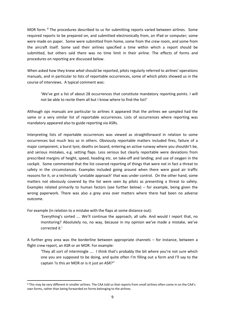MOR form. <sup>8</sup> The procedures described to us for submitting reports varied between airlines. Some required reports to be prepared on, and submitted electronically from, an iPad or computer; some were made on paper. Some were submitted from home, some from the crew room, and some from the aircraft itself. Some said their airlines specified a time within which a report should be submitted, but others said there was no time limit in their airline. The effects of forms and procedures on reporting are discussed below.

When asked how they knew *what* should be reported, pilots regularly referred to airlines' operations manuals, and in particular to lists of reportable occurrences, some of which pilots showed us in the course of interviews. A typical comment was:

'We've got a list of about 28 occurrences that constitute mandatory reporting points. I will not be able to recite them all but I know where to find the list!'

Although ops manuals are particular to airlines it appeared that the airlines we sampled had the same or a very similar list of reportable occurrences. Lists of occurrences where reporting was mandatory appeared also to guide reporting via ASRs.

Interpreting lists of reportable occurrences was viewed as straightforward in relation to some occurrences but much less so in others. Obviously reportable matters included fires, failure of a major component; a burst tyre; deaths on board, entering an active runway where you shouldn't be, and serious mistakes, e.g. setting flaps. Less serious but clearly reportable were deviations from prescribed margins of height, speed, heading etc. on take-off and landing; and use of oxygen in the cockpit. Some commented that the list covered reporting of things that were not in fact a threat to safety in the circumstances. Examples included going around when there were good air traffic reasons for it, or a technically 'unstable approach' that was under control. On the other hand, some matters not obviously covered by the list were seen by pilots as presenting a threat to safety. Examples related primarily to human factors (see further below) – for example, being given the wrong paperwork. There was also a grey area over matters where there had been no adverse outcome.

For example (in relation to a mistake with the flaps at some distance out):

**.** 

'Everything's sorted …. We'll continue the approach, all safe. And would I report that, no monitoring? Absolutely no, no way, because in my opinion we've made a mistake, we've corrected it.'

A further grey area was the borderline between appropriate channels – for instance, between a flight crew report, an ASR or an MOR. For example:

'They all sort of intermingle …. I think that's probably the bit where you're not sure which one you are supposed to be doing, and quite often I'm filling out a form and I'll say to the captain 'Is this an MOR or is it just an ASR?''

<sup>8</sup> This may be very different in smaller airlines. The CAA told us that reports from small airlines often come in on the CAA's own forms, rather than being forwarded on forms belonging to the airlines.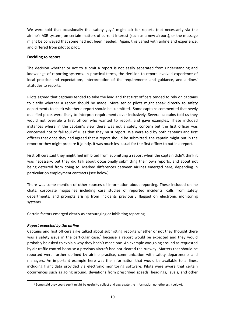We were told that occasionally the 'safety guys' might ask for reports (not necessarily via the airline's ASR system) on certain matters of current interest (such as a new airport), or the message might be conveyed that some had not been needed. Again, this varied with airline and experience, and differed from pilot to pilot.

#### <span id="page-11-0"></span>**Deciding to report**

The decision whether or not to submit a report is not easily separated from understanding and knowledge of reporting systems. In practical terms, the decision to report involved experience of local practice and expectations, interpretation of the requirements and guidance, and airlines' attitudes to reports.

Pilots agreed that captains tended to take the lead and that first officers tended to rely on captains to clarify whether a report should be made. More senior pilots might speak directly to safety departments to check whether a report should be submitted. Some captains commented that newly qualified pilots were likely to interpret requirements over-inclusively. Several captains told us they would not overrule a first officer who wanted to report, and gave examples. These included instances where in the captain's view there was not a safety concern but the first officer was concerned not to fall foul of rules that they must report. We were told by both captains and first officers that once they had agreed that a report should be submitted, the captain might put in the report or they might prepare it jointly. It was much less usual for the first officer to put in a report.

First officers said they might feel inhibited from submitting a report when the captain didn't think it was necessary, but they did talk about occasionally submitting their own reports, and about not being deterred from doing so. Marked differences between airlines emerged here, depending in particular on employment contracts (see below).

There was some mention of other sources of information about reporting. These included online chats; corporate magazines including case studies of reported incidents; calls from safety departments, and prompts arising from incidents previously flagged on electronic monitoring systems.

Certain factors emerged clearly as encouraging or inhibiting reporting.

#### <span id="page-11-1"></span>*Report expected by the airline*

**.** 

Captains and first officers alike talked about submitting reports whether or not they thought there was a safety issue in the particular case,<sup>9</sup> because a report would be expected and they would probably be asked to explain why they hadn't made one. An example was going around as requested by air traffic control because a previous aircraft had not cleared the runway. Matters that should be reported were further defined by airline practice, communication with safety departments and managers. An important example here was the information that would be available to airlines, including flight data provided via electronic monitoring software. Pilots were aware that certain occurrences such as going around, deviations from prescribed speeds, headings, levels, and other

<sup>&</sup>lt;sup>9</sup> Some said they could see it might be useful to collect and aggregate the information nonetheless (below).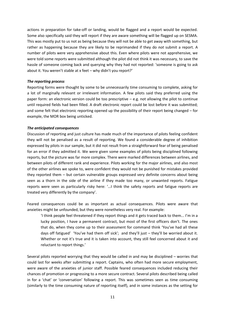actions in preparation for take-off or landing, would be flagged and a report would be expected. Some also specifically said they will report if they are aware something will be flagged up on SESMA. This was mostly put to us not as being because they will not be able to get away with something, but rather as happening because they are likely to be reprimanded if they do *not* submit a report. A number of pilots were very apprehensive about this. Even where pilots were not apprehensive, we were told some reports were submitted although the pilot did not think it was necessary, to save the hassle of someone coming back and querying why they had not reported: 'someone is going to ask about it. You weren't stable at x feet – why didn't you report?'

#### <span id="page-12-0"></span>*The reporting process*

Reporting forms were thought by some to be unnecessarily time consuming to complete, asking for a lot of marginally relevant or irrelevant information. A few pilots said they preferred using the paper form: an electronic version could be too prescriptive – e.g. not allowing the pilot to continue until required fields had been filled. A draft electronic report could be lost before it was submitted; and some felt that electronic reporting opened up the possibility of their report being changed – for example, the MOR box being unticked.

#### <span id="page-12-1"></span>*The anticipated consequences*

Discussion of reporting and just culture has made much of the importance of pilots feeling confident they will not be penalised as a result of reporting. We found a considerable degree of inhibition expressed by pilots in our sample, but it did not result from a straightforward fear of being penalised for an error if they admitted it. We were given some examples of pilots being disciplined following reports, but the picture was far more complex. There were marked differences between airlines, and between pilots of different rank and experience. Pilots working for the major airlines, and also most of the other airlines we spoke to, were confident they would not be punished for mistakes provided they reported them – but certain vulnerable groups expressed very definite concerns about being seen as a thorn in the side of the airline if they made too many, or unwanted reports. Fatigue reports were seen as particularly risky here: '…I think the safety reports and fatigue reports are treated very differently by the company'.

Feared consequences could be as important as actual consequences. Pilots were aware that anxieties might be unfounded, but they were nonetheless very real. For example:

'I think people feel threatened if they report things and it gets traced back to them... I'm in a lucky position, I have a permanent contract, but most of the first officers don't. The ones that do, when they come up to their assessment for command think 'You've had all these days off fatigued' 'You've had them off sick'; and they'll just – they'll be worried about it. Whether or not it's true and it is taken into account, they still feel concerned about it and reluctant to report things.'

Several pilots reported worrying that they would be called in and may be disciplined – worries that could last for weeks after submitting a report. Captains, who often had more secure employment, were aware of the anxieties of junior staff. Possible feared consequences included reducing their chances of promotion or progressing to a more secure contract. Several pilots described being called in for a 'chat' or 'conversation' following a report. This was sometimes seen as time consuming (similarly to the time consuming nature of reporting itself), and in some instances as the setting for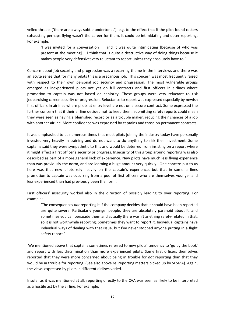veiled threats ('there are always subtle undertones'), e.g. to the effect that if the pilot found rosters exhausting perhaps flying wasn't the career for them. It could be intimidating and deter reporting. For example:

'I was invited for a conversation …. and it was quite intimidating [because of who was present at the meeting]…. I think that is quite a destructive way of doing things because it makes people very defensive; very reluctant to report unless they absolutely have to.'

Concern about job security and progression was a recurring theme in the interviews and there was an acute sense that for many pilots this is a precarious job. This concern was most frequently raised with respect to their own personal job security and progression. The most vulnerable groups emerged as inexperienced pilots not yet on full contracts and first officers in airlines where promotion to captain was not based on seniority. These groups were very reluctant to risk jeopardising career security or progression. Reluctance to report was expressed especially by newish first officers in airlines where pilots at entry level are not on a secure contract. Some expressed the further concern that if their airline decided not to keep them, submitting safety reports could mean they were seen as having a blemished record or as a trouble maker, reducing their chances of a job with another airline. More confidence was expressed by captains and those on permanent contracts.

It was emphasised to us numerous times that most pilots joining the industry today have personally invested very heavily in training and do not want to do anything to risk their investment. Some captains said they were sympathetic to this and would be deterred from insisting on a report where it might affect a first officer's security or progress. Insecurity of this group around reporting was also described as part of a more general lack of experience. New pilots have much less flying experience than was previously the norm, and are learning a huge amount very quickly. One concern put to us here was that new pilots rely heavily on the captain's experience, but that in some airlines promotion to captain was occurring from a pool of first officers who are themselves younger and less experienced than had previously been the norm.

First officers' insecurity worked also in the direction of possibly leading to over reporting. For example:

'The consequences *not* reporting it if the company decides that it should have been reported are quite severe. Particularly younger people, they are absolutely paranoid about it, and sometimes you can persuade them and actually there wasn't anything safety-related in that, so it is not worthwhile reporting. Sometimes they want to report it. Individual captains have individual ways of dealing with that issue, but I've never stopped anyone putting in a flight safety report.'

 We mentioned above that captains sometimes referred to new pilots' tendency to 'go by the book' and report with less discrimination than more experienced pilots. Some first officers themselves reported that they were more concerned about being in trouble for *not* reporting than that they would be in trouble for reporting. (See also above re: reporting matters picked up by SESMA). Again, the views expressed by pilots in different airlines varied.

Insofar as it was mentioned at all, reporting directly to the CAA was seen as likely to be interpreted as a hostile act by the airline. For example: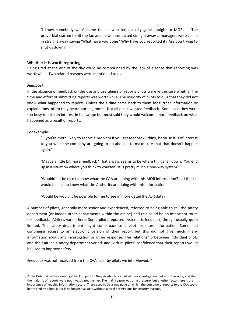'I know somebody who's done that … who has actually gone straight to MOR; …. The proverbial started to hit the fan and he was contacted straight away … managers were called in straight away saying 'What have you done? Why have you reported it? Are you trying to shut us down?'

#### <span id="page-14-0"></span>**Whether it is worth reporting**

Being tired at the end of the day could be compounded by the lack of a sense that reporting was worthwhile. Two related reasons were mentioned to us.

#### <span id="page-14-1"></span>*Feedback*

In the absence of feedback on the use and usefulness of reports pilots were left unsure whether the time and effort of submitting reports was worthwhile. The majority of pilots told us that they did not know what happened to reports. Unless the airline came back to them for further information or explanations, often they heard nothing more. Not all pilots wanted feedback. Some said they were too busy to take an interest in follow up; but most said they would welcome more feedback on what happened as a result of reports.

For example:

1

'… you're more likely to report a problem if you get feedback I think, because it is of interest to you what the company are going to do about it to make sure that that doesn't happen again.'

'Maybe a little bit more feedback? That always seems to be where things fall down. You end up in a situation where you think to yourself "it is pretty much a one-way system".'

'Wouldn't it be nice to know what the CAA are doing with this MOR information? … I think it would be nice to know what the Authority are doing with this information.'

'Would be would it be possible for me to see in more detail the ASR data?.'

A number of pilots, generally more senior and experienced, referred to being able to call the safety department (or indeed other departments within the airline) and this could be an important route for feedback. Airlines varied here. Some pilots reported systematic feedback, though usually quite limited. The safety department might come back to a pilot for more information. Some had continuing access to an electronic version of their report but this did not give much if any information about any investigation or other response. The relationship between individual pilots and their airline's safety department varied, and with it, pilots' confidence that their reports would be used to improve safety.

Feedback was not received from the CAA itself by pilots we interviewed.<sup>10</sup>

<sup>&</sup>lt;sup>10</sup> The CAA told us they would get back to pilots if they needed to as part of their investigation, but not otherwise; and that the majority of reports were not investigated further. The main reason was time pressure, but another factor here is the importance of keeping information secure. There used to be a web page on which the outcome of reports to the CAA could be tracked by pilots, but it is no longer available without special permissions for security reasons.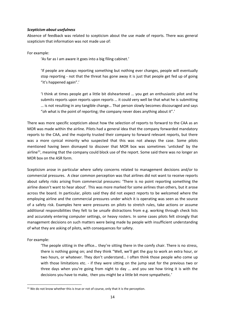#### <span id="page-15-0"></span>*Scepticism about usefulness*

Absence of feedback was related to scepticism about the use made of reports. There was general scepticism that information was not made use of:

For example:

'As far as I am aware it goes into a big filing cabinet.'

'If people are always reporting something but nothing ever changes, people will eventually stop reporting - not that the threat has gone away it is just that people get fed up of going "it's happened again".'

'I think at times people get a little bit disheartened … you get an enthusiastic pilot and he submits reports upon reports upon reports … it could very well be that what he is submitting … is not resulting in any tangible change… That person slowly becomes discouraged and says "oh what is the point of reporting; the company never does anything about it".'

There was more specific scepticism about how the selection of reports to forward to the CAA as an MOR was made within the airline. Pilots had a general idea that the company forwarded mandatory reports to the CAA, and the majority trusted their company to forward relevant reports, but there was a more cynical minority who suspected that this was not always the case. Some pilots mentioned having been dismayed to discover that MOR box was sometimes 'unticked' by the airline<sup>11</sup>, meaning that the company could block use of the report. Some said there was no longer an MOR box on the ASR form.

Scepticism arose in particular where safety concerns related to management decisions and/or to commercial pressures. A clear common perception was that airlines did not want to receive reports about safety risks arising from commercial pressures: 'There is no point reporting something the airline doesn't want to hear about'*.* This was more marked for some airlines than others, but it arose across the board. In particular, pilots said they did not expect reports to be welcomed where the employing airline and the commercial pressures under which it is operating was seen as the source of a safety risk. Examples here were pressures on pilots to stretch rules, take actions or assume additional responsibilities they felt to be unsafe distractions from e.g. working through check lists and accurately entering computer settings, or heavy rosters. In some cases pilots felt strongly that management decisions on such matters were being made by people with insufficient understanding of what they are asking of pilots, with consequences for safety.

For example:

**.** 

'The people sitting in the office… they're sitting there in the comfy chair. There is no stress, there is nothing going on; and they think "Well, we'll get the guy to work an extra hour, or two hours, or whatever. They don't understand… I often think those people who come up with those limitations etc. - if they were sitting on the jump seat for the previous two or three days when you're going from night to day ... and you see how tiring it is with the decisions you have to make, then you might be a little bit more sympathetic.'

<sup>&</sup>lt;sup>11</sup> We do not know whether this is true or not of course, only that it is the perception.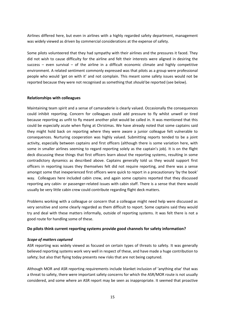Airlines differed here, but even in airlines with a highly regarded safety department, management was widely viewed as driven by commercial considerations at the expense of safety.

Some pilots volunteered that they had sympathy with their airlines and the pressures it faced. They did not wish to cause difficulty for the airline and felt their interests were aligned in desiring the success – even survival – of the airline in a difficult economic climate and highly competitive environment. A related sentiment commonly expressed was that pilots as a group were professional people who would 'get on with it' and not complain. This meant some safety issues would not be reported because they were not recognised as something that *should* be reported (see below).

#### <span id="page-16-0"></span>**Relationships with colleagues**

Maintaining team spirit and a sense of camaraderie is clearly valued. Occasionally the consequences could inhibit reporting. Concern for colleagues could add pressure to fly whilst unwell or tired because reporting as unfit to fly meant another pilot would be called in. It was mentioned that this could be especially acute when flying at Christmas. We have already noted that some captains said they might hold back on reporting where they were aware a junior colleague felt vulnerable to consequences. Nurturing cooperation was highly valued. Submitting reports tended to be a joint activity, especially between captains and first officers (although there is some variation here, with some in smaller airlines seeming to regard reporting solely as the captain's job). It is on the flight deck discussing these things that first officers learn about the reporting systems, resulting in some contradictory dynamics as described above. Captains generally told us they would support first officers in reporting issues they themselves felt did not require reporting, and there was a sense amongst some that inexperienced first officers were quick to report in a precautionary 'by the book' way. Colleagues here included cabin crew, and again some captains reported that they discussed reporting any cabin- or passenger-related issues with cabin staff. There is a sense that there would usually be very little cabin crew could contribute regarding flight deck matters.

Problems working with a colleague or concern that a colleague might need help were discussed as very sensitive and some clearly regarded as them difficult to report. Some captains said they would try and deal with these matters informally, outside of reporting systems. It was felt there is not a good route for handling some of these.

#### <span id="page-16-1"></span>**Do pilots think current reporting systems provide good channels for safety information?**

#### <span id="page-16-2"></span>*Scope of matters captured*

ASR reporting was widely viewed as focused on certain types of threats to safety. It was generally believed reporting systems work very well in respect of these, and have made a huge contribution to safety; but also that flying today presents new risks that are not being captured.

Although MOR and ASR reporting requirements include blanket inclusion of 'anything else' that was a threat to safety, there were important safety concerns for which the ASR/MOR route is not usually considered, and some where an ASR report may be seen as inappropriate. It seemed that proactive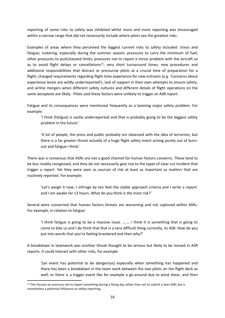reporting of some risks to safety was inhibited whilst more and more reporting was encouraged within a narrow range that did not necessarily include where pilots see the greatest risks.

Examples of areas where they perceived the biggest current risks to safety included: stress and fatigue; rostering, especially during the summer season; pressures to carry the minimum of fuel; other pressures to push/exceed limits; pressures not to report a minor problem with the aircraft so as to avoid flight delays or cancellations<sup>12</sup>; very short turnaround times; new procedures and additional responsibilities that distract or pressurise pilots at a crucial time of preparation for a flight; changed requirements regarding flight time experience for new entrants (e.g. 'Concerns about experience levels are wildly underreported'); lack of support in their own attempts to ensure safety; and airline mergers when different safety cultures and different details of flight operations on the same aeroplane are likely. Pilots said these factors were unlikely to trigger an ASR report.

Fatigue and its consequences were mentioned frequently as a looming major safety problem. For example:

'I think [fatigue] is vastly underreported and that is probably going to be the biggest safety problem in the future.'

'A lot of people, the press and public probably are obsessed with the idea of terrorism, but there is a far greater threat actually of a huge flight safety event arising purely out of burnout and fatigue I think.'

There was a consensus that ASRs are not a good channel for human factors concerns. These tend to be less readily recognised, and they do not necessarily give rise to the types of clear cut incident that trigger a report. Yet they were seen as sources of risk at least as important as matters that are routinely reported. For example:

'Let's weigh it now: I infringe by ten feet the stable approach criteria and I write a report: and I am awake for 13 hours. What do you think is the most risk?'

Several were concerned that human factors threats are worsening and not captured within ASRs. For example, in relation to fatigue:

'I think fatigue is going to be a massive issue. ….... I think it is something that is going to come to bite us and I do think that that is a very difficult thing currently, to ASR. How do you put into words that you're feeling knackered and then why?'

A breakdown in teamwork was another threat thought to be serious but likely to be missed in ASR reports. It could interact with other risks, for example:

'[an event has potential to be dangerous] especially when something has happened and there has been a breakdown in the team work between the two pilots on the flight deck as well; or there is a trigger event like for example a go-around due to wind shear, and then

**.** 

 $12$  This focuses on pressure not to report something during a flying day rather than not to submit a later ASR, but is nonetheless a potential influence on safety reporting.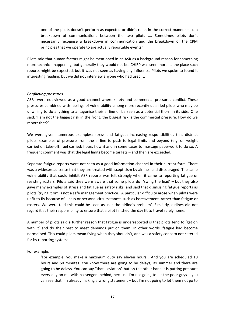one of the pilots doesn't perform as expected or didn't react in the correct manner – so a breakdown of communications between the two pilots …. Sometimes pilots don't necessarily recognise a breakdown in communication and the breakdown of the CRM principles that we operate to are actually reportable events.'

Pilots said that human factors might be mentioned in an ASR as a background reason for something more technical happening, but generally they would not be. CHIRP was seen more as the place such reports might be expected, but it was not seen as having any influence. Pilots we spoke to found it interesting reading, but we did not interview anyone who had used it.

#### <span id="page-18-0"></span>*Conflicting pressures*

ASRs were not viewed as a good channel where safety and commercial pressures conflict. These pressures combined with feelings of vulnerability among more recently qualified pilots who may be unwilling to do anything to antagonise their airline or be seen as a potential thorn in its side. One said: 'I am not the biggest risk in the front: the biggest risk is the commercial pressure. How do we report that?'

We were given numerous examples: stress and fatigue; increasing responsibilities that distract pilots; examples of pressure from the airline to push to legal limits and beyond (e.g. on weight carried on take-off; fuel carried; hours flown) and in some cases to massage paperwork to do so. A frequent comment was that the legal limits become targets – and then are exceeded.

Separate fatigue reports were not seen as a good information channel in their current form. There was a widespread sense that they are treated with scepticism by airlines and discouraged. The same vulnerability that could inhibit ASR reports was felt strongly when it came to reporting fatigue or resisting rosters. Pilots said they were aware that some pilots do 'swing the lead' – but they also gave many examples of stress and fatigue as safety risks, and said that dismissing fatigue reports as pilots 'trying it on' is not a safe management practice. A particular difficulty arose when pilots were unfit to fly because of illness or personal circumstances such as bereavement, rather than fatigue or rosters. We were told this could be seen as 'not the airline's problem'. Similarly, airlines did not regard it as their responsibility to ensure that a pilot finished the day fit to travel safely home.

A number of pilots said a further reason that fatigue is underreported is that pilots tend to 'get on with it' and do their best to meet demands put on them. In other words, fatigue had become normalised. This could pilots mean flying when they shouldn't, and was a safety concern not catered for by reporting systems.

For example:

'For example, you make a maximum duty say eleven hours… And you are scheduled 10 hours and 50 minutes. You know there are going to be delays, its summer and there are going to be delays. You can say "that's aviation" but on the other hand it is putting pressure every day on me with passengers behind, because I'm not going to let the poor guys – you can see that I'm already making a wrong statement – but I'm not going to let them not go to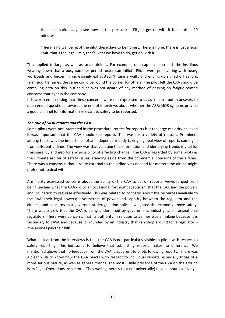their destination … you see how all the pressure … I'll just get on with it for another 20 minutes.'

'There is no wellbeing of the pilot these days to be honest. There is none, there is just a legal limit; that's the legal limit, that's what we have to do, get on with it.'

This applied to large as well as small airlines. For example, one captain described 'the insidious wearing down that a busy summer period roster can inflict'. Pilots were persevering with heavy workloads and becoming increasingly exhausted, 'hitting a wall', and ending up signed off as long term sick. He feared the same could be round the corner for others. The pilot felt the CAA should be compiling data on this, but said he was not aware of any method of passing on fatigue-related concerns that bypass the company.

It is worth emphasising that these concerns were not expressed to us as 'moans' but in answers to open ended questions towards the end of interviews about whether the ASR/MOR systems provide a good channel for information relevant to safety to be reported.

#### <span id="page-19-0"></span>*The role of MOR reports and the CAA*

Some pilots were not interested in the procedural routes for reports but the large majority believed it was important that the CAA should see reports. This was for a variety of reasons. Prominent among these was the importance of an independent body taking a global view of reports coming in from different airlines. The view was that collating this information and identifying trends is vital for transparency and also for any possibility of effecting change. The CAA is regarded by some pilots as the ultimate arbiter of safety issues, standing aside from the commercial concerns of the airlines. There was a consensus that a route external to the airline was needed for matters the airline might prefer not to deal with.

A minority expressed concerns about the ability of the CAA to act on reports. Views ranged from being unclear what the CAA did to an occasional forthright scepticism that the CAA had the powers and inclination to regulate effectively. This was related to concerns about the resources available to the CAA; their legal powers; asymmetries of power and capacity between the regulator and the airlines; and concerns that government deregulation policies weighted the economy above safety. There was a view that the CAA is being undermined by government, industry, and transnational regulators. There were concerns that its authority in relation to airlines was shrinking because it is secondary to EASA and because it is funded by an industry that can shop around for a regulator – 'the airlines pay their bills'.

What is clear from the interviews is that the CAA is not particularly visible to pilots with respect to safety reporting. This led some to believe that submitting reports makes no difference. We mentioned above that no feedback from the CAA is apparent to pilots following reports. There was a clear wish to know how the CAA reacts with respect to individual reports, especially those of a more serious nature, as well as general trends. The most visible presence of the CAA on the ground is its Flight Operations Inspectors. They were generally (but not universally) talked about positively.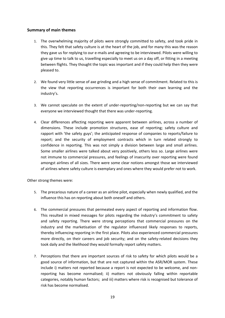#### <span id="page-20-0"></span>**Summary of main themes**

- 1. The overwhelming majority of pilots were strongly committed to safety, and took pride in this. They felt that safety culture is at the heart of the job, and for many this was the reason they gave us for replying to our e-mails and agreeing to be interviewed. Pilots were willing to give up time to talk to us, travelling especially to meet us on a day off, or fitting in a meeting between flights. They thought the topic was important and if they could help then they were pleased to.
- 2. We found very little sense of axe grinding and a high sense of commitment. Related to this is the view that reporting occurrences is important for both their own learning and the industry's.
- 3. We cannot speculate on the extent of under-reporting/non-reporting but we can say that everyone we interviewed thought that there was under-reporting.
- 4. Clear differences affecting reporting were apparent between airlines, across a number of dimensions. These include promotion structures, ease of reporting; safety culture and rapport with 'the safety guys'; the anticipated response of companies to reports/failure to report; and the security of employment contracts which in turn related strongly to confidence in reporting. This was not simply a division between large and small airlines. Some smaller airlines were talked about very positively, others less so. Large airlines were not immune to commercial pressures, and feelings of insecurity over reporting were found amongst airlines of all sizes. There were some clear notions amongst those we interviewed of airlines where safety culture is exemplary and ones where they would prefer not to work.

Other strong themes were:

- 5. The precarious nature of a career as an airline pilot, especially when newly qualified, and the influence this has on reporting about both oneself and others.
- 6. The commercial pressures that permeated every aspect of reporting and information flow. This resulted in mixed messages for pilots regarding the industry's commitment to safety and safety reporting. There were strong perceptions that commercial pressures on the industry and the marketisation of the regulator influenced likely responses to reports, thereby influencing reporting in the first place. Pilots also experienced commercial pressures more directly, on their careers and job security; and on the safety-related decisions they took daily and the likelihood they would formally report safety matters.
- 7. Perceptions that there are important sources of risk to safety for which pilots would be a good source of information, but that are not captured within the ASR/MOR system. These include i) matters not reported because a report is not expected to be welcome, and nonreporting has become normalised; ii) matters not obviously falling within reportable categories, notably human factors; and iii) matters where risk is recognised but tolerance of risk has become normalised.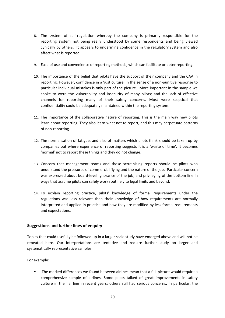- 8. The system of self-regulation whereby the company is primarily responsible for the reporting system not being really understood by some respondents and being viewed cynically by others. It appears to undermine confidence in the regulatory system and also affect what is reported.
- 9. Ease of use and convenience of reporting methods, which can facilitate or deter reporting.
- 10. The importance of the belief that pilots have the support of their company and the CAA in reporting. However, confidence in a 'just culture' in the sense of a non-punitive response to particular individual mistakes is only part of the picture. More important in the sample we spoke to were the vulnerability and insecurity of many pilots; and the lack of effective channels for reporting many of their safety concerns. Most were sceptical that confidentiality could be adequately maintained within the reporting system.
- 11. The importance of the collaborative nature of reporting. This is the main way new pilots learn about reporting. They also learn what not to report, and this may perpetuate patterns of non-reporting.
- 12. The normalisation of fatigue, and also of matters which pilots think should be taken up by companies but where experience of reporting suggests it is a 'waste of time'. It becomes 'normal' not to report these things and they do not change.
- 13. Concern that management teams and those scrutinising reports should be pilots who understand the pressures of commercial flying and the nature of the job. Particular concern was expressed about board-level ignorance of the job, and privileging of the bottom line in ways that assume pilots can safely work routinely to legal limits and beyond.
- 14. To explain reporting practice, pilots' knowledge of formal requirements under the regulations was less relevant than their knowledge of how requirements are normally interpreted and applied in practice and how they are modified by less formal requirements and expectations.

#### <span id="page-21-0"></span>**Suggestions and further lines of enquiry**

Topics that could usefully be followed up in a larger scale study have emerged above and will not be repeated here. Our interpretations are tentative and require further study on larger and systematically representative samples.

For example:

 The marked differences we found between airlines mean that a full picture would require a comprehensive sample of airlines. Some pilots talked of great improvements in safety culture in their airline in recent years; others still had serious concerns. In particular, the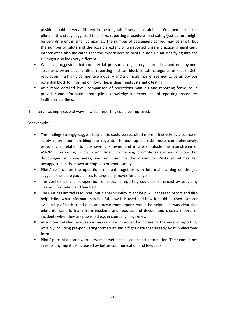position could be very different in the long tail of very small airlines. Comments from the pilots in this study suggested that risks, reporting procedures and safety/just culture might be very different in small companies. The number of passengers carried may be small, but the number of pilots and the possible extent of unreported unsafe practice is significant. Interviewees also indicated that the experiences of pilots in non-UK airlines flying into the UK might also look very different.

- We have suggested that commercial pressures, regulatory approaches and employment structures systematically affect reporting and can block certain categories of report. Selfregulation in a highly competitive industry and a difficult market seemed to be an obvious potential block to information flow. These ideas need systematic testing.
- At a more detailed level, comparison of operations manuals and reporting forms could provide some information about pilots' knowledge and experience of reporting procedures in different airlines.

The interviews imply several ways in which reporting could be improved.

For example:

- The findings strongly suggest that pilots could be recruited more effectively as a source of safety information, enabling the regulator to pick up on risks more comprehensively, especially in relation to 'unknown unknowns' and in areas outside the mainstream of ASR/MOR reporting. Pilots' commitment to helping promote safety was obvious but discouraged in some areas, and not used to the maximum. Pilots sometimes felt unsupported in their own attempts to promote safety.
- Pilots' reliance on the operations manuals together with informal learning on the job suggests these are good places to target any moves for change.
- The confidence and co-operation of pilots in reporting could be enhanced by providing clearer information and feedback.
- **The CAA has limited resources, but higher visibility might help willingness to report and also** help define what information is helpful, how it is used and how it could be used. Greater availability of both trend data and occurrence reports would be helpful. It was clear that pilots do want to learn from incidents and reports, and devour and discuss reports of incidents when they are published e.g. in company magazines.
- At a more detailed level, reporting could be improved by increasing the ease of reporting, possibly including pre-populating forms with basic flight data that already exist in electronic form.
- <span id="page-22-0"></span>**Pilots' perceptions and worries were sometimes based on soft information. Their confidence** in reporting might be increased by better communication and feedback.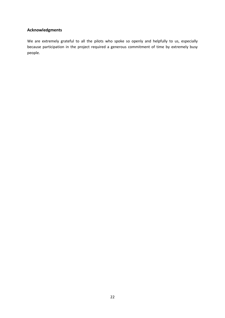# **Acknowledgments**

We are extremely grateful to all the pilots who spoke so openly and helpfully to us, especially because participation in the project required a generous commitment of time by extremely busy people.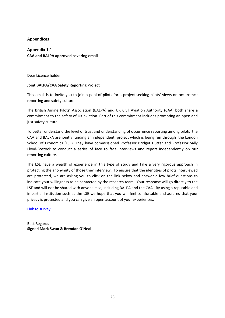#### <span id="page-24-0"></span>**Appendices**

# **Appendix 1.1 CAA and BALPA approved covering email**

Dear Licence holder

#### **Joint BALPA/CAA Safety Reporting Project**

This email is to invite you to join a pool of pilots for a project seeking pilots' views on occurrence reporting and safety culture.

The British Airline Pilots' Association (BALPA) and UK Civil Aviation Authority (CAA) both share a commitment to the safety of UK aviation. Part of this commitment includes promoting an open and just safety culture.

To better understand the level of trust and understanding of occurrence reporting among pilots the CAA and BALPA are jointly funding an independent project which is being run through the London School of Economics (LSE). They have commissioned Professor Bridget Hutter and Professor Sally Lloyd-Bostock to conduct a series of face to face interviews and report independently on our reporting culture.

The LSE have a wealth of experience in this type of study and take a very rigorous approach in protecting the anonymity of those they interview. To ensure that the identities of pilots interviewed are protected, we are asking you to click on the link below and answer a few brief questions to indicate your willingness to be contacted by the research team. Your response will go directly to the LSE and will not be shared with anyone else, including BALPA and the CAA. By using a reputable and impartial institution such as the LSE we hope that you will feel comfortable and assured that your privacy is protected and you can give an open account of your experiences.

Link to survey

Best Regards **Signed Mark Swan & Brendan O'Neal**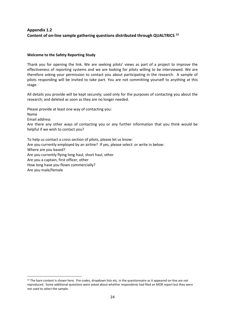# **Appendix 1.2 Content of on-line sample gathering questions distributed through QUALTRICS <sup>13</sup>**

#### **Welcome to the Safety Reporting Study**

How long have you flown commercially?

Are you male/female

1

Thank you for opening the link. We are seeking pilots' views as part of a project to improve the effectiveness of reporting systems and we are looking for pilots willing to be interviewed. We are therefore asking your permission to contact you about participating in the research. A sample of pilots responding will be invited to take part. You are not committing yourself to anything at this stage.

All details you provide will be kept securely; used only for the purposes of contacting you about the research; and deleted as soon as they are no longer needed.

Please provide at least one way of contacting you: Name Email address *.* Are there any other ways of contacting you or any further information that you think would be helpful if we wish to contact you? To help us contact a cross section of pilots, please let us know: Are you currently employed by an airline? If yes, please select: or write in below: Where are you based? Are you currently flying long haul, short haul, other Are you a captain, first officer, other

<sup>&</sup>lt;sup>13</sup> The bare content is shown here. Pre-codes, dropdown lists etc. in the questionnaire as it appeared on-line are not reproduced. Some additional questions were asked about whether respondents had filed an MOR report but they were not used to select the sample.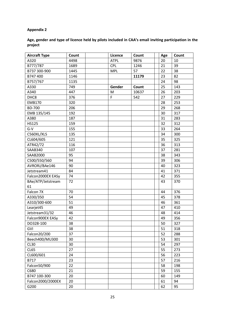# **Appendix 2**

| Age, gender and type of licence held by pilots included in CAA's email inviting participation in the |  |
|------------------------------------------------------------------------------------------------------|--|
| project                                                                                              |  |

| <b>Aircraft Type</b> | Count | Licence     | Count | Age | Count |
|----------------------|-------|-------------|-------|-----|-------|
| A320                 | 4498  | <b>ATPL</b> | 9876  | 20  | 10    |
| B777/787             | 1689  | <b>CPL</b>  | 1246  | 21  | 39    |
| B737 300-900         | 1445  | <b>MPL</b>  | 57    | 22  | 38    |
| B747 400             | 1146  |             | 11179 | 23  | 82    |
| B757/767             | 1135  |             |       | 24  | 98    |
| A330                 | 749   | Gender      | Count | 25  | 143   |
| A340                 | 447   | M           | 10637 | 26  | 203   |
| DHC8                 | 376   | $\mathsf F$ | 542   | 27  | 229   |
| <b>EMB170</b>        | 320   |             |       | 28  | 253   |
| <b>BD-700</b>        | 206   |             |       | 29  | 268   |
| EMB 135/145          | 192   |             |       | 30  | 317   |
| A380                 | 187   |             |       | 31  | 283   |
| <b>HS125</b>         | 159   |             |       | 32  | 312   |
| $G-V$                | 155   |             |       | 33  | 264   |
| C560XL/XLS           | 135   |             |       | 34  | 300   |
| CL604/605            | 121   |             |       | 35  | 325   |
| ATR42/72             | 116   |             |       | 36  | 313   |
| SAAB340              | 107   |             |       | 37  | 281   |
| SAAB2000             | 95    |             |       | 38  | 343   |
| C500/550/560         | 94    |             |       | 39  | 306   |
| AVRORJ/BAe146        | 90    |             |       | 40  | 323   |
| Jetstream41          | 84    |             |       | 41  | 371   |
| Falcon2000EX EASy    | 74    |             |       | 42  | 355   |
| BAe/ATP/Jetstream    | 72    |             |       | 43  | 370   |
| 61                   |       |             |       |     |       |
| Falcon 7X            | 70    |             |       | 44  | 376   |
| A330/350             | 54    |             |       | 45  | 378   |
| A310/300-600         | 51    |             |       | 46  | 361   |
| Learjet45            | 49    |             |       | 47  | 410   |
| Jetstream31/32       | 46    |             |       | 48  | 414   |
| Falcon900EX EASy     | 42    |             |       | 49  | 356   |
| DO328-100            | 38    |             |       | 50  | 327   |
| GVI                  | 38    |             |       | 51  | 318   |
| Falcon20/200         | 37    |             |       | 52  | 288   |
| Beech400/MU300       | 30    |             |       | 53  | 301   |
| <b>CL30</b>          | 30    |             |       | 54  | 297   |
| <b>CL65</b>          | 27    |             |       | 55  | 273   |
| CL600/601            | 24    |             |       | 56  | 223   |
| B717                 | 23    |             |       | 57  | 216   |
| Falcon50/900         | 22    |             |       | 58  | 198   |
| C680                 | 21    |             |       | 59  | 155   |
| B747 100-300         | 20    |             |       | 60  | 149   |
| Falcon2000/2000EX    | 20    |             |       | 61  | 94    |
| G200                 | 20    |             |       | 62  | 95    |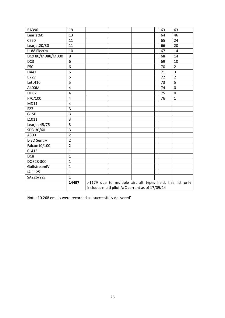| RA390            | 19             |                                                           |  | 63 | 63             |  |
|------------------|----------------|-----------------------------------------------------------|--|----|----------------|--|
| Learjet60        | 13             |                                                           |  | 64 | 46             |  |
| C750             | 11             |                                                           |  | 65 | 24             |  |
| Learjet20/30     | 11             |                                                           |  | 66 | 20             |  |
| L188 Electra     | 10             |                                                           |  | 67 | 14             |  |
| DC9 80/MD88/MD90 | 8              |                                                           |  | 68 | 14             |  |
| DC3              | 6              |                                                           |  | 69 | 10             |  |
| F50              | 6              |                                                           |  | 70 | $\overline{2}$ |  |
| HA4T             | 6              |                                                           |  | 71 | 3              |  |
| B727             | 5              |                                                           |  | 72 | $\overline{2}$ |  |
| LetL410          | 5              |                                                           |  | 73 | 5              |  |
| A400M            | $\overline{4}$ |                                                           |  | 74 | $\mathbf 0$    |  |
| DHC7             | $\overline{4}$ |                                                           |  | 75 | $\mathbf 0$    |  |
| F70/100          | $\overline{4}$ |                                                           |  | 76 | $\mathbf{1}$   |  |
| MD11             | $\overline{4}$ |                                                           |  |    |                |  |
| F27              | 3              |                                                           |  |    |                |  |
| G150             | $\overline{3}$ |                                                           |  |    |                |  |
| L1011            | 3              |                                                           |  |    |                |  |
| Learjet 45/75    | 3              |                                                           |  |    |                |  |
| SD3-30/60        | 3              |                                                           |  |    |                |  |
| A300             | $\overline{2}$ |                                                           |  |    |                |  |
| E-3D Sentry      | $\overline{2}$ |                                                           |  |    |                |  |
| Falcon10/100     | $\overline{2}$ |                                                           |  |    |                |  |
| CL415            | $\mathbf{1}$   |                                                           |  |    |                |  |
| DC8              | $\mathbf{1}$   |                                                           |  |    |                |  |
| DO328-300        | $\mathbf{1}$   |                                                           |  |    |                |  |
| GulfstreamIV     | $\mathbf{1}$   |                                                           |  |    |                |  |
| IAI1125          | $\mathbf{1}$   |                                                           |  |    |                |  |
| SA226/227        | $\mathbf{1}$   |                                                           |  |    |                |  |
|                  | 14497          | >1179 due to multiple aircraft types held, this list only |  |    |                |  |
|                  |                | includes multi pilot A/C current as of 17/09/14           |  |    |                |  |

Note: 10,268 emails were recorded as 'successfully delivered'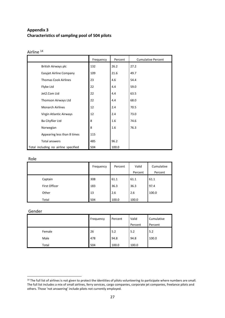# **Appendix 3 Characteristics of sampling pool of 504 pilots**

|                                      | Frequency | Percent | <b>Cumulative Percent</b> |
|--------------------------------------|-----------|---------|---------------------------|
| British Airways plc                  | 132       | 26.2    | 27.2                      |
| Easyjet Airline Company              | 109       | 21.6    | 49.7                      |
| <b>Thomas Cook Airlines</b>          | 23        | 4.6     | 54.4                      |
| Flybe Ltd                            | 22        | 4.4     | 59.0                      |
| Jet2.Com Ltd                         | 22        | 4.4     | 63.5                      |
| Thomson Airways Ltd                  | 22        | 4.4     | 68.0                      |
| <b>Monarch Airlines</b>              | 12        | 2.4     | 70.5                      |
| Virgin Atlantic Airways              | 12        | 2.4     | 73.0                      |
| Ba Cityflier Ltd                     | 8         | 1.6     | 74.6                      |
| Norwegian                            | 8         | 1.6     | 76.3                      |
| Appearing less than 8 times          | 115       |         |                           |
| <b>Total answers</b>                 | 485       | 96.2    |                           |
| Total including no airline specified | 504       | 100.0   |                           |

#### Airline<sup>14</sup>

#### Role

|       |               | Frequency | Percent | Valid   | Cumulative |
|-------|---------------|-----------|---------|---------|------------|
|       |               |           |         | Percent | Percent    |
|       | Captain       | 308       | 61.1    | 61.1    | 61.1       |
|       | First Officer | 183       | 36.3    | 36.3    | 97.4       |
| Other |               | 13        | 2.6     | 2.6     | 100.0      |
| Total |               | 504       | 100.0   | 100.0   |            |

#### Gender

1

|        | Frequency | Percent | Valid<br>Percent | Cumulative<br>Percent |
|--------|-----------|---------|------------------|-----------------------|
| Female | 26        | 5.2     | 5.2              | 5.2                   |
| Male   | 478       | 94.8    | 94.8             | 100.0                 |
| Total  | 504       | 100.0   | 100.0            |                       |

<sup>&</sup>lt;sup>14</sup> The full list of airlines is not given to protect the identities of pilots volunteering to participate where numbers are small. The full list includes a mix of small airlines, ferry services, cargo companies, corporate jet companies, freelance pilots and others. Those 'not answering' include pilots not currently employed.